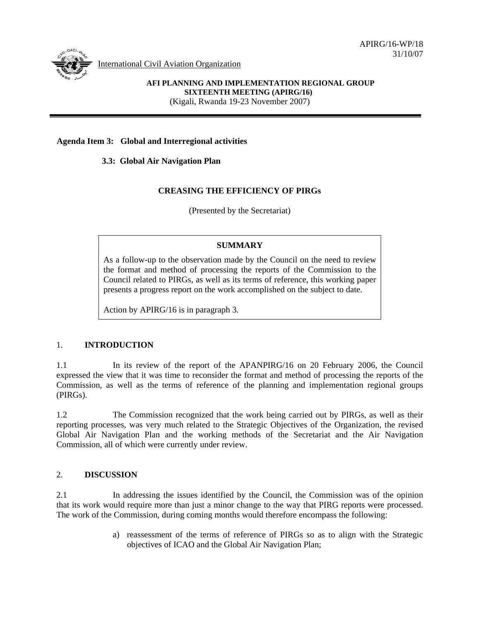APIRG/16-WP/18 31/10/07



International Civil Aviation Organization

# **AFI PLANNING AND IMPLEMENTATION REGIONAL GROUP SIXTEENTH MEETING (APIRG/16)**

(Kigali, Rwanda 19-23 November 2007)

## **Agenda Item 3: Global and Interregional activities**

 **3.3: Global Air Navigation Plan** 

### **CREASING THE EFFICIENCY OF PIRGs**

(Presented by the Secretariat)

## **SUMMARY**

As a follow-up to the observation made by the Council on the need to review the format and method of processing the reports of the Commission to the Council related to PIRGs, as well as its terms of reference, this working paper presents a progress report on the work accomplished on the subject to date.

Action by APIRG/16 is in paragraph 3.

#### 1. **INTRODUCTION**

1.1 In its review of the report of the APANPIRG/16 on 20 February 2006, the Council expressed the view that it was time to reconsider the format and method of processing the reports of the Commission, as well as the terms of reference of the planning and implementation regional groups (PIRGs).

1.2 The Commission recognized that the work being carried out by PIRGs, as well as their reporting processes, was very much related to the Strategic Objectives of the Organization, the revised Global Air Navigation Plan and the working methods of the Secretariat and the Air Navigation Commission, all of which were currently under review.

## 2. **DISCUSSION**

2.1 In addressing the issues identified by the Council, the Commission was of the opinion that its work would require more than just a minor change to the way that PIRG reports were processed. The work of the Commission, during coming months would therefore encompass the following:

> a) reassessment of the terms of reference of PIRGs so as to align with the Strategic objectives of ICAO and the Global Air Navigation Plan;